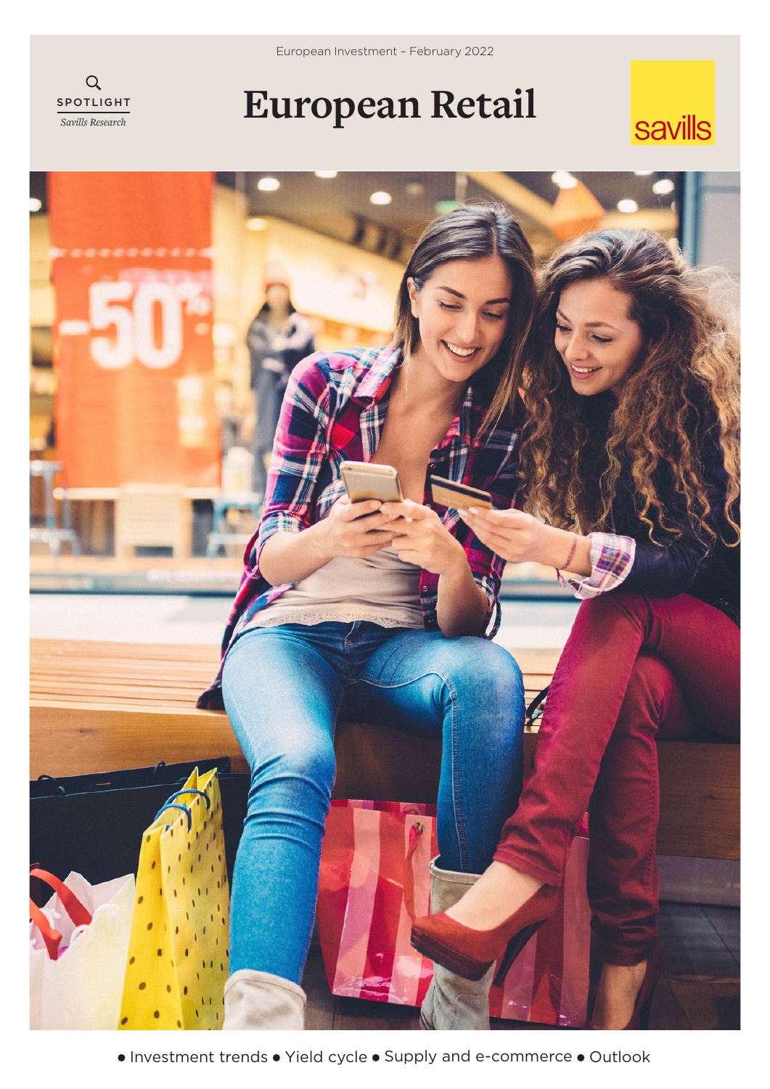



# **European Retail**

## savills

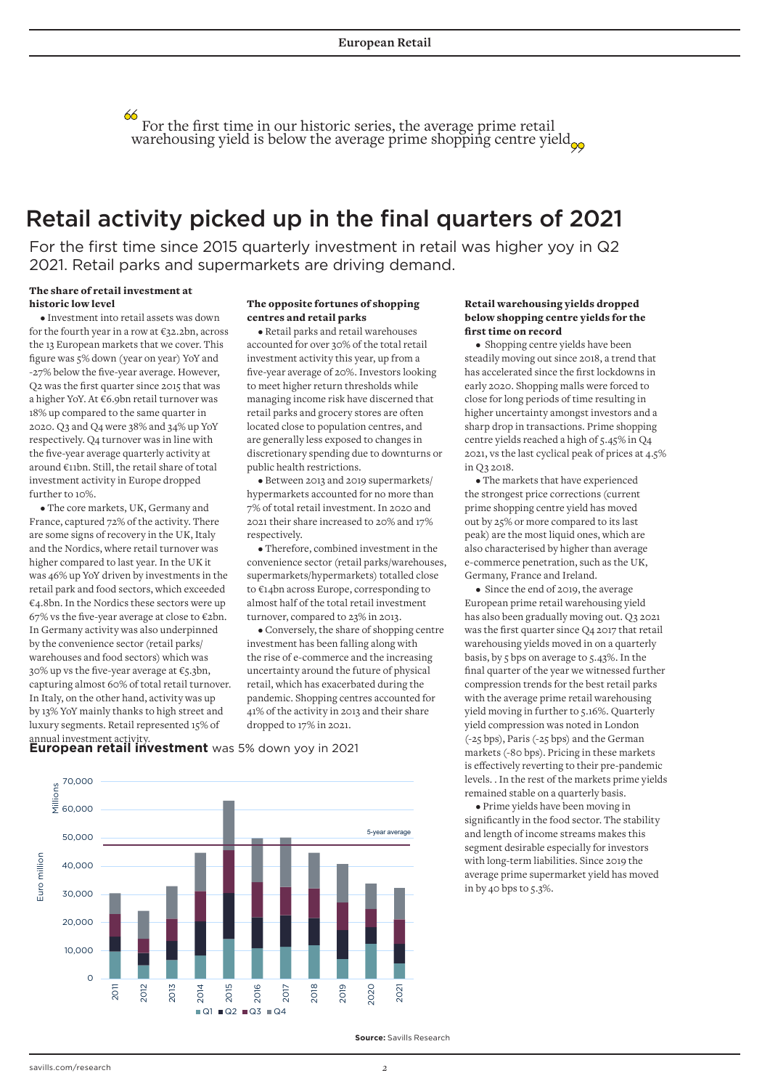For the first time in our historic series, the average prime retail warehousing yield is below the average prime shopping centre yield $_{\infty}$ 

### Retail activity picked up in the final quarters of 2021

For the first time since 2015 quarterly investment in retail was higher yoy in Q2 2021. Retail parks and supermarkets are driving demand.

### The share of retail investment at historic low level

• Investment into retail assets was down for the fourth year in a row at €32.2bn, across the 13 European markets that we cover. This figure was 5% down (year on year) YoY and -27% below the five-year average. However, Q2 was the first quarter since 2015 that was a higher YoY. At €6.9bn retail turnover was 18% up compared to the same quarter in 2020. Q3 and Q4 were 38% and 34% up YoY respectively. Q4 turnover was in line with the five-year average quarterly activity at around €11bn. Still, the retail share of total investment activity in Europe dropped further to 10%.

• The core markets, UK, Germany and France, captured 72% of the activity. There are some signs of recovery in the UK, Italy and the Nordics, where retail turnover was higher compared to last year. In the UK it was 46% up YoY driven by investments in the retail park and food sectors, which exceeded €4.8bn. In the Nordics these sectors were up 67% vs the five-year average at close to  $\epsilon$ 2bn. In Germany activity was also underpinned by the convenience sector (retail parks/ warehouses and food sectors) which was 30% up vs the five-year average at  $\epsilon$ 5.3bn, capturing almost 60% of total retail turnover. In Italy, on the other hand, activity was up by 13% YoY mainly thanks to high street and luxury segments. Retail represented 15% of annual investment activity.

#### The opposite fortunes of shopping centres and retail parks

• Retail parks and retail warehouses accounted for over 30% of the total retail investment activity this year, up from a five-year average of 20%. Investors looking to meet higher return thresholds while managing income risk have discerned that retail parks and grocery stores are often located close to population centres, and are generally less exposed to changes in discretionary spending due to downturns or public health restrictions.

• Between 2013 and 2019 supermarkets/ hypermarkets accounted for no more than 7% of total retail investment. In 2020 and 2021 their share increased to 20% and 17% respectively

• Therefore, combined investment in the convenience sector (retail parks/warehouses, supermarkets/hypermarkets) totalled close to €14bn across Europe, corresponding to almost half of the total retail investment turnover, compared to 23% in 2013.

• Conversely, the share of shopping centre investment has been falling along with the rise of e-commerce and the increasing uncertainty around the future of physical retail, which has exacerbated during the pandemic. Shopping centres accounted for 41% of the activity in 2013 and their share dropped to 17% in 2021.

#### Retail warehousing yields dropped below shopping centre yields for the first time on record

• Shopping centre yields have been steadily moving out since 2018, a trend that has accelerated since the first lockdowns in early 2020. Shopping malls were forced to close for long periods of time resulting in higher uncertainty amongst investors and a sharp drop in transactions. Prime shopping centre yields reached a high of 5.45% in Q4 2021, vs the last cyclical peak of prices at 4.5% in Q3 2018.

• The markets that have experienced the strongest price corrections (current prime shopping centre yield has moved out by 25% or more compared to its last peak) are the most liquid ones, which are also characterised by higher than average e-commerce penetration, such as the UK, Germany, France and Ireland.

• Since the end of 2019, the average European prime retail warehousing yield has also been gradually moving out. Q3 2021 was the first quarter since Q4 2017 that retail warehousing yields moved in on a quarterly basis, by 5 bps on average to 5.43%. In the final quarter of the year we witnessed further compression trends for the best retail parks with the average prime retail warehousing yield moving in further to 5.16%. Quarterly yield compression was noted in London (-25 bps), Paris (-25 bps) and the German markets (-80 bps). Pricing in these markets is effectively reverting to their pre-pandemic levels. . In the rest of the markets prime yields remained stable on a quarterly basis.

• Prime yields have been moving in significantly in the food sector. The stability and length of income streams makes this segment desirable especially for investors with long-term liabilities. Since 2019 the average prime supermarket yield has moved in by 40 bps to 5.3%.





**Source:** Savills Research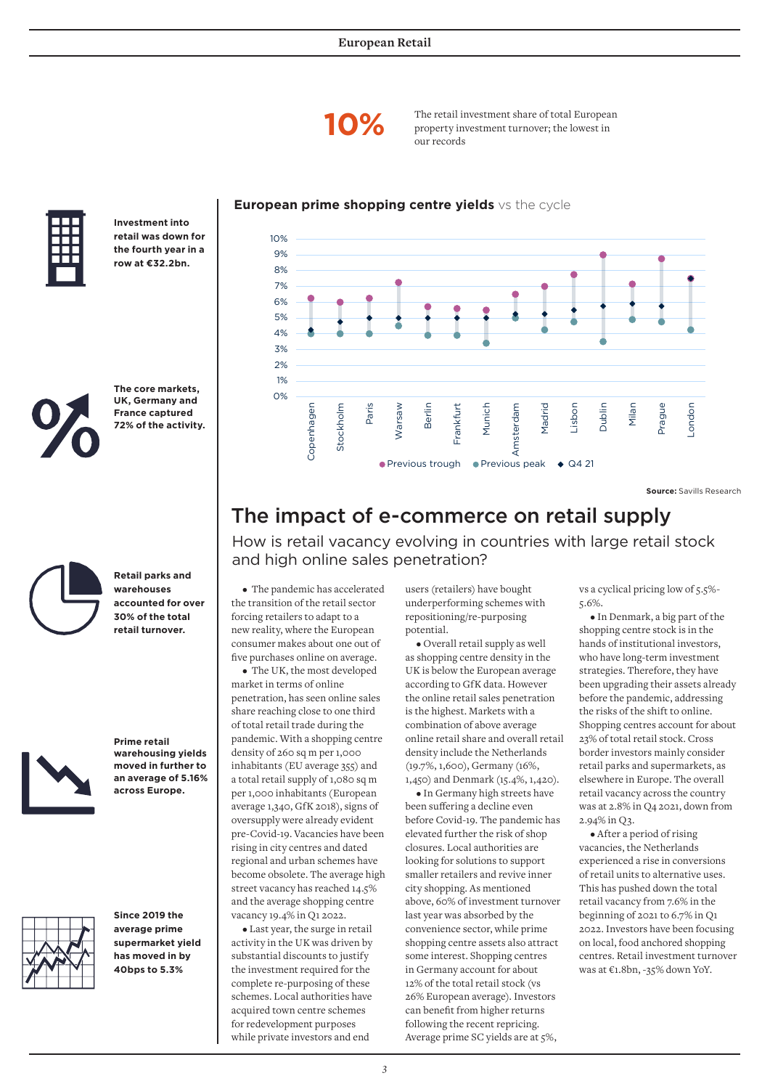

**10%** The retail investment share of total European property investment turnover: the lowest in property investment turnover; the lowest in our records

### **European prime shopping centre yields** vs the cycle



**Investment into retail was down for the fourth year in a row at €32.2bn.**



**The core markets, UK, Germany and France captured 72% of the activity.**



**Retail parks and warehouses accounted for over 30% of the total retail turnover.** 



**Prime retail warehousing yields moved in further to an average of 5.16% across Europe.**



**Since 2019 the average prime supermarket yield has moved in by 40bps to 5.3%** 



**Source:** Savills Research

### The impact of e-commerce on retail supply

How is retail vacancy evolving in countries with large retail stock and high online sales penetration?

• The pandemic has accelerated the transition of the retail sector forcing retailers to adapt to a new reality, where the European consumer makes about one out of five purchases online on average.

• The UK, the most developed market in terms of online penetration, has seen online sales share reaching close to one third of total retail trade during the pandemic. With a shopping centre density of 260 sq m per 1,000 inhabitants (EU average 355) and a total retail supply of 1,080 sq m per 1,000 inhabitants (European average 1,340, GfK 2018), signs of oversupply were already evident pre-Covid-19. Vacancies have been rising in city centres and dated regional and urban schemes have become obsolete. The average high street vacancy has reached 14.5% and the average shopping centre vacancy 19.4% in Q1 2022.

• Last year, the surge in retail activity in the UK was driven by substantial discounts to justify the investment required for the complete re-purposing of these schemes. Local authorities have acquired town centre schemes for redevelopment purposes while private investors and end

users (retailers) have bought underperforming schemes with repositioning/re-purposing potential.

• Overall retail supply as well as shopping centre density in the UK is below the European average according to GfK data. However the online retail sales penetration is the highest. Markets with a combination of above average online retail share and overall retail density include the Netherlands (19.7%, 1,600), Germany (16%, 1,450) and Denmark (15.4%, 1,420).

• In Germany high streets have been suffering a decline even before Covid-19. The pandemic has elevated further the risk of shop closures. Local authorities are looking for solutions to support smaller retailers and revive inner city shopping. As mentioned above, 60% of investment turnover last year was absorbed by the convenience sector, while prime shopping centre assets also attract some interest. Shopping centres in Germany account for about 12% of the total retail stock (vs 26% European average). Investors can benefit from higher returns following the recent repricing. Average prime SC yields are at 5%,

vs a cyclical pricing low of 5.5%- 5.6%.

• In Denmark, a big part of the shopping centre stock is in the hands of institutional investors, who have long-term investment strategies. Therefore, they have been upgrading their assets already before the pandemic, addressing the risks of the shift to online. Shopping centres account for about 23% of total retail stock. Cross border investors mainly consider retail parks and supermarkets, as elsewhere in Europe. The overall retail vacancy across the country was at 2.8% in Q4 2021, down from 2.94% in Q3.

• After a period of rising vacancies, the Netherlands experienced a rise in conversions of retail units to alternative uses. This has pushed down the total retail vacancy from 7.6% in the beginning of 2021 to 6.7% in Q1 2022. Investors have been focusing on local, food anchored shopping centres. Retail investment turnover was at €1.8bn, -35% down YoY.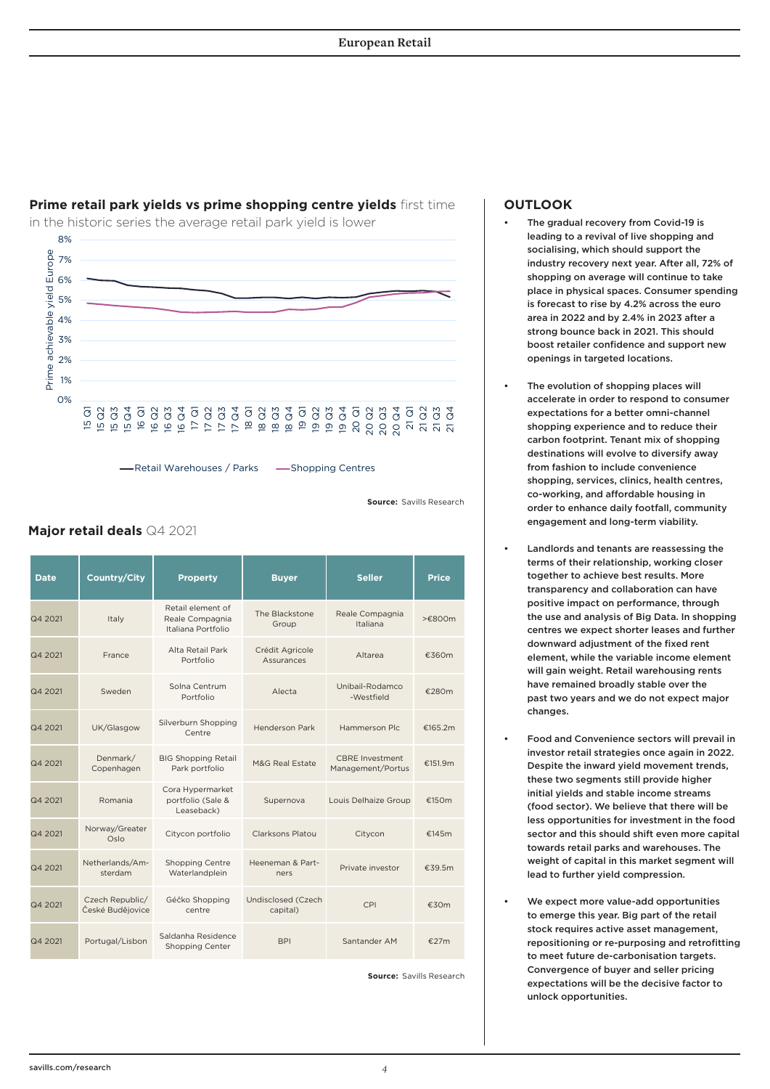

### **Prime retail park yields vs prime shopping centre yields** first time

in the historic series the average retail park yield is lower

Retail Warehouses / Parks — Shopping Centres

**Source:** Savills Research

### **Major retail deals** Q4 2021

| <b>Date</b> | <b>Country/City</b>                 | <b>Property</b>                                            | <b>Buyer</b>                   | <b>Seller</b>                               | <b>Price</b> |
|-------------|-------------------------------------|------------------------------------------------------------|--------------------------------|---------------------------------------------|--------------|
| Q4 2021     | Italy                               | Retail element of<br>Reale Compagnia<br>Italiana Portfolio | The Blackstone<br>Group        | Reale Compagnia<br>Italiana                 | >£800m       |
| Q4 2021     | France                              | Alta Retail Park<br>Portfolio                              | Crédit Agricole<br>Assurances  | Altarea                                     | €360m        |
| Q4 2021     | Sweden                              | Solna Centrum<br>Portfolio                                 | Alecta                         | Unibail-Rodamco<br>-Westfield               | €280m        |
| Q4 2021     | UK/Glasgow                          | Silverburn Shopping<br>Centre                              | <b>Henderson Park</b>          | Hammerson Plc.                              | €165.2m      |
| Q4 2021     | Denmark/<br>Copenhagen              | <b>BIG Shopping Retail</b><br>Park portfolio               | M&G Real Estate                | <b>CBRE</b> Investment<br>Management/Portus | €151.9m      |
| Q4 2021     | Romania                             | Cora Hypermarket<br>portfolio (Sale &<br>Leaseback)        | Supernova                      | Louis Delhaize Group                        | €150m        |
| Q4 2021     | Norway/Greater<br>Oslo              | Citycon portfolio                                          | Clarksons Platou               | Citycon                                     | €145 $m$     |
| Q4 2021     | Netherlands/Am-<br>sterdam          | <b>Shopping Centre</b><br>Waterlandplein                   | Heeneman & Part-<br>ners       | Private investor                            | €39.5m       |
| Q4 2021     | Czech Republic/<br>České Budějovice | Géčko Shopping<br>centre                                   | Undisclosed (Czech<br>capital) | CPI                                         | €30m         |
| Q4 2021     | Portugal/Lisbon                     | Saldanha Residence<br><b>Shopping Center</b>               | <b>BPI</b>                     | Santander AM                                | €27m         |

**Source:** Savills Research

### **OUTLOOK**

- The gradual recovery from Covid-19 is leading to a revival of live shopping and socialising, which should support the industry recovery next year. After all, 72% of shopping on average will continue to take place in physical spaces. Consumer spending is forecast to rise by 4.2% across the euro area in 2022 and by 2.4% in 2023 after a strong bounce back in 2021. This should boost retailer confidence and support new openings in targeted locations.
- The evolution of shopping places will accelerate in order to respond to consumer expectations for a better omni-channel shopping experience and to reduce their carbon footprint. Tenant mix of shopping destinations will evolve to diversify away from fashion to include convenience shopping, services, clinics, health centres co-working, and affordable housing in order to enhance daily footfall, community engagement and long-term viability.
- Landlords and tenants are reassessing the terms of their relationship, working closer together to achieve best results. More transparency and collaboration can have positive impact on performance, through the use and analysis of Big Data. In shopping centres we expect shorter leases and further downward adjustment of the fixed rent element, while the variable income element will gain weight. Retail warehousing rents have remained broadly stable over the past two years and we do not expect major changes.
- Food and Convenience sectors will prevail in investor retail strategies once again in 2022. Despite the inward yield movement trends, these two segments still provide higher initial yields and stable income streams (food sector). We believe that there will be less opportunities for investment in the food sector and this should shift even more capital towards retail parks and warehouses. The weight of capital in this market segment will lead to further yield compression.
- We expect more value-add opportunities to emerge this year. Big part of the retail stock requires active asset management, repositioning or re-purposing and retrofitting to meet future de-carbonisation targets. Convergence of buyer and seller pricing expectations will be the decisive factor to unlock opportunities.